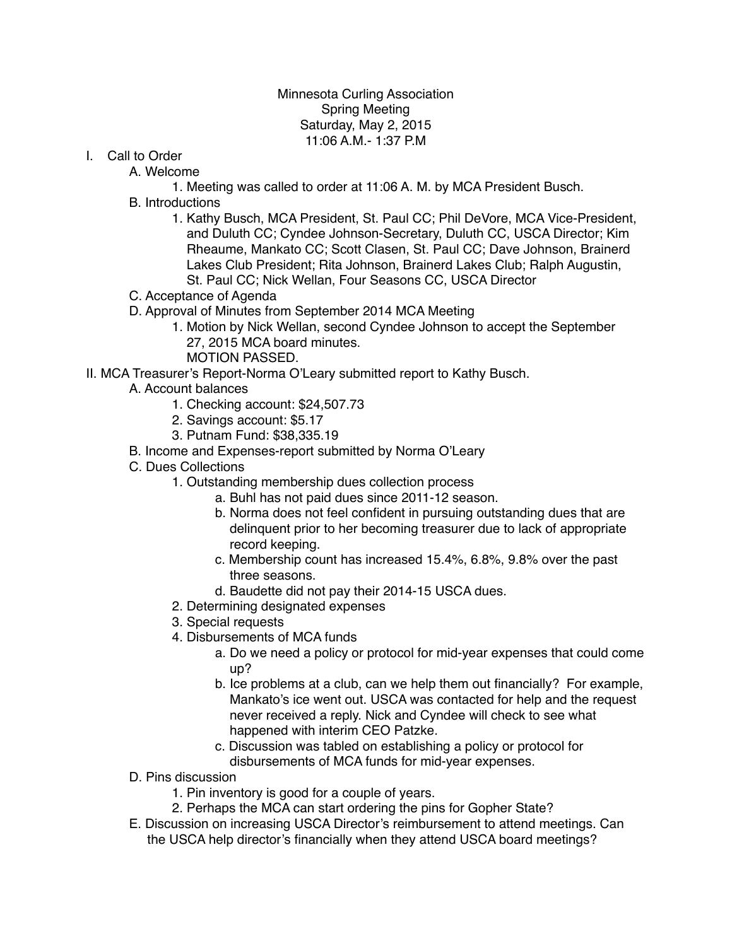## Minnesota Curling Association Spring Meeting Saturday, May 2, 2015 11:06 A.M.- 1:37 P.M

I. Call to Order

A. Welcome

- 1. Meeting was called to order at 11:06 A. M. by MCA President Busch.
- B. Introductions
	- 1. Kathy Busch, MCA President, St. Paul CC; Phil DeVore, MCA Vice-President, and Duluth CC; Cyndee Johnson-Secretary, Duluth CC, USCA Director; Kim Rheaume, Mankato CC; Scott Clasen, St. Paul CC; Dave Johnson, Brainerd Lakes Club President; Rita Johnson, Brainerd Lakes Club; Ralph Augustin, St. Paul CC; Nick Wellan, Four Seasons CC, USCA Director
- C. Acceptance of Agenda
- D. Approval of Minutes from September 2014 MCA Meeting
	- 1. Motion by Nick Wellan, second Cyndee Johnson to accept the September 27, 2015 MCA board minutes.
	- MOTION PASSED.
- II. MCA Treasurer's Report-Norma O'Leary submitted report to Kathy Busch.
	- A. Account balances
		- 1. Checking account: \$24,507.73
		- 2. Savings account: \$5.17
		- 3. Putnam Fund: \$38,335.19
	- B. Income and Expenses-report submitted by Norma O'Leary
	- C. Dues Collections
		- 1. Outstanding membership dues collection process
			- a. Buhl has not paid dues since 2011-12 season.
			- b. Norma does not feel confident in pursuing outstanding dues that are delinquent prior to her becoming treasurer due to lack of appropriate record keeping.
			- c. Membership count has increased 15.4%, 6.8%, 9.8% over the past three seasons.
			- d. Baudette did not pay their 2014-15 USCA dues.
		- 2. Determining designated expenses
		- 3. Special requests
		- 4. Disbursements of MCA funds
			- a. Do we need a policy or protocol for mid-year expenses that could come up?
			- b. Ice problems at a club, can we help them out financially? For example, Mankato's ice went out. USCA was contacted for help and the request never received a reply. Nick and Cyndee will check to see what happened with interim CEO Patzke.
			- c. Discussion was tabled on establishing a policy or protocol for disbursements of MCA funds for mid-year expenses.
	- D. Pins discussion
		- 1. Pin inventory is good for a couple of years.
		- 2. Perhaps the MCA can start ordering the pins for Gopher State?
	- E. Discussion on increasing USCA Director's reimbursement to attend meetings. Can the USCA help director's financially when they attend USCA board meetings?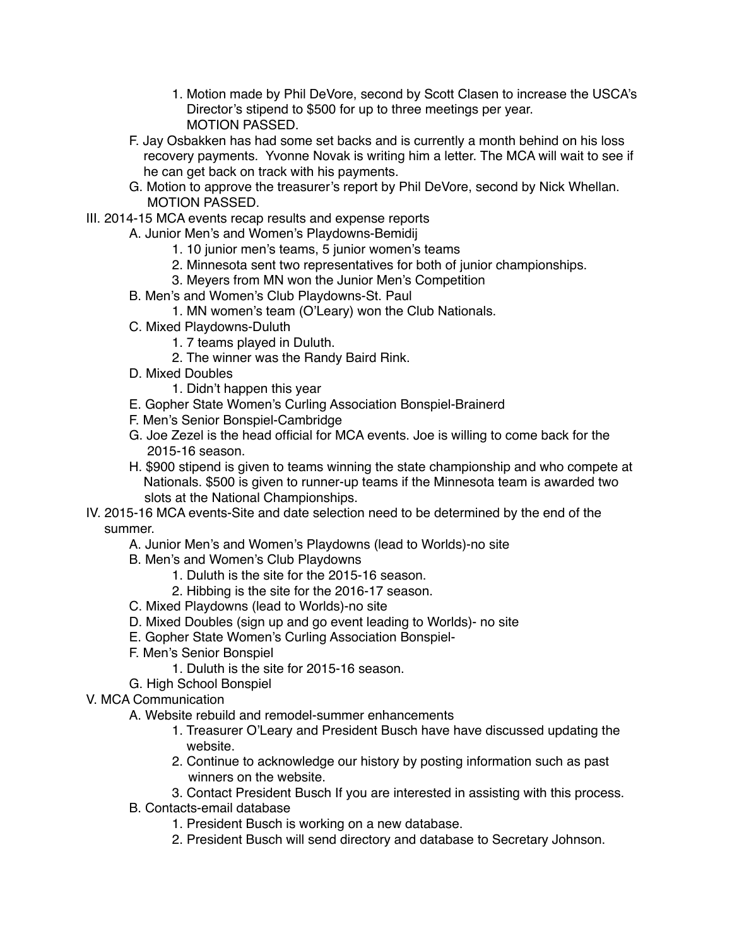- 1. Motion made by Phil DeVore, second by Scott Clasen to increase the USCA's Director's stipend to \$500 for up to three meetings per year. MOTION PASSED.
- F. Jay Osbakken has had some set backs and is currently a month behind on his loss recovery payments. Yvonne Novak is writing him a letter. The MCA will wait to see if he can get back on track with his payments.
- G. Motion to approve the treasurer's report by Phil DeVore, second by Nick Whellan. MOTION PASSED.
- III. 2014-15 MCA events recap results and expense reports
	- A. Junior Men's and Women's Playdowns-Bemidij
		- 1. 10 junior men's teams, 5 junior women's teams
		- 2. Minnesota sent two representatives for both of junior championships.
		- 3. Meyers from MN won the Junior Men's Competition
	- B. Men's and Women's Club Playdowns-St. Paul
		- 1. MN women's team (O'Leary) won the Club Nationals.
	- C. Mixed Playdowns-Duluth
		- 1. 7 teams played in Duluth.
		- 2. The winner was the Randy Baird Rink.
	- D. Mixed Doubles
		- 1. Didn't happen this year
	- E. Gopher State Women's Curling Association Bonspiel-Brainerd
	- F. Men's Senior Bonspiel-Cambridge
	- G. Joe Zezel is the head official for MCA events. Joe is willing to come back for the 2015-16 season.
	- H. \$900 stipend is given to teams winning the state championship and who compete at Nationals. \$500 is given to runner-up teams if the Minnesota team is awarded two slots at the National Championships.
- IV. 2015-16 MCA events-Site and date selection need to be determined by the end of the summer.
	- A. Junior Men's and Women's Playdowns (lead to Worlds)-no site
	- B. Men's and Women's Club Playdowns
		- 1. Duluth is the site for the 2015-16 season.
		- 2. Hibbing is the site for the 2016-17 season.
	- C. Mixed Playdowns (lead to Worlds)-no site
	- D. Mixed Doubles (sign up and go event leading to Worlds)- no site
	- E. Gopher State Women's Curling Association Bonspiel-
	- F. Men's Senior Bonspiel
		- 1. Duluth is the site for 2015-16 season.
	- G. High School Bonspiel
- V. MCA Communication
	- A. Website rebuild and remodel-summer enhancements
		- 1. Treasurer O'Leary and President Busch have have discussed updating the website.
		- 2. Continue to acknowledge our history by posting information such as past winners on the website.
		- 3. Contact President Busch If you are interested in assisting with this process.
	- B. Contacts-email database
		- 1. President Busch is working on a new database.
		- 2. President Busch will send directory and database to Secretary Johnson.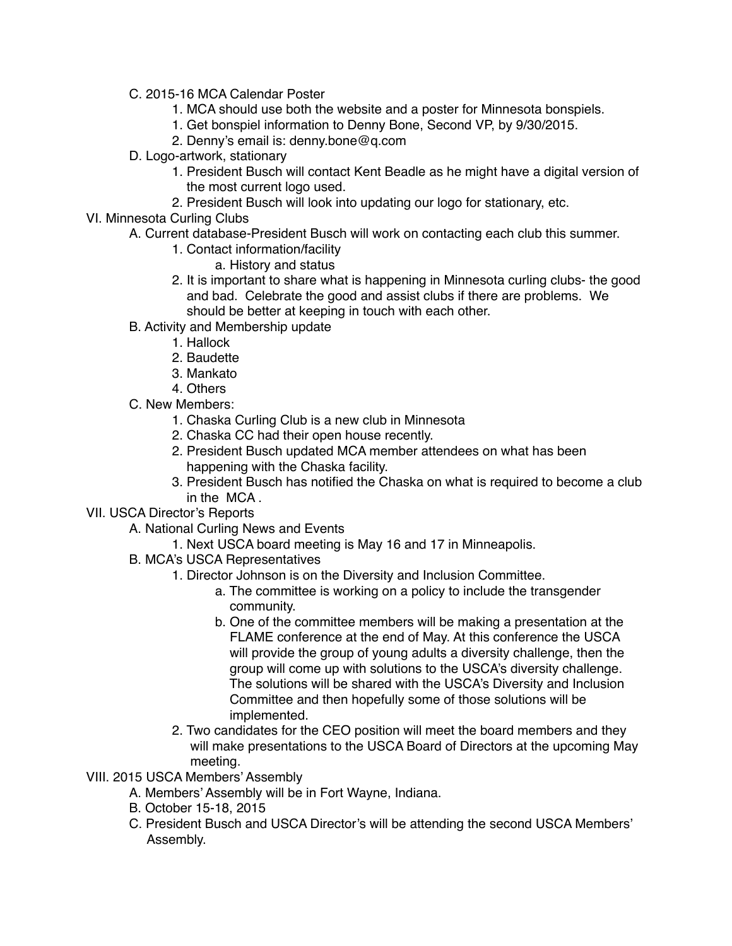- C. 2015-16 MCA Calendar Poster
	- 1. MCA should use both the website and a poster for Minnesota bonspiels.
	- 1. Get bonspiel information to Denny Bone, Second VP, by 9/30/2015.
	- 2. Denny's email is: denny.bone@q.com
- D. Logo-artwork, stationary
	- 1. President Busch will contact Kent Beadle as he might have a digital version of the most current logo used.
	- 2. President Busch will look into updating our logo for stationary, etc.
- VI. Minnesota Curling Clubs
	- A. Current database-President Busch will work on contacting each club this summer.
		- 1. Contact information/facility
			- a. History and status
		- 2. It is important to share what is happening in Minnesota curling clubs- the good and bad. Celebrate the good and assist clubs if there are problems. We should be better at keeping in touch with each other.
	- B. Activity and Membership update
		- 1. Hallock
		- 2. Baudette
		- 3. Mankato
		- 4. Others
	- C. New Members:
		- 1. Chaska Curling Club is a new club in Minnesota
		- 2. Chaska CC had their open house recently.
		- 2. President Busch updated MCA member attendees on what has been happening with the Chaska facility.
		- 3. President Busch has notified the Chaska on what is required to become a club in the MCA .
- VII. USCA Director's Reports
	- A. National Curling News and Events
		- 1. Next USCA board meeting is May 16 and 17 in Minneapolis.
	- B. MCA's USCA Representatives
		- 1. Director Johnson is on the Diversity and Inclusion Committee.
			- a. The committee is working on a policy to include the transgender community.
			- b. One of the committee members will be making a presentation at the FLAME conference at the end of May. At this conference the USCA will provide the group of young adults a diversity challenge, then the group will come up with solutions to the USCA's diversity challenge. The solutions will be shared with the USCA's Diversity and Inclusion Committee and then hopefully some of those solutions will be implemented.
		- 2. Two candidates for the CEO position will meet the board members and they will make presentations to the USCA Board of Directors at the upcoming May meeting.
- VIII. 2015 USCA Members' Assembly
	- A. Members' Assembly will be in Fort Wayne, Indiana.
	- B. October 15-18, 2015
	- C. President Busch and USCA Director's will be attending the second USCA Members' Assembly.